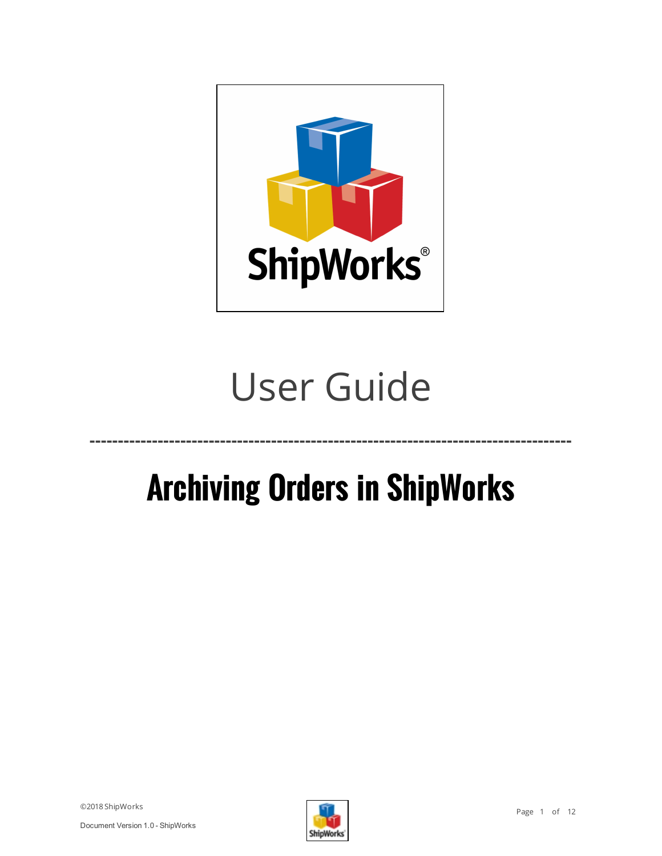

# User Guide

# **Archiving Orders in ShipWorks**

**-------------------------------------------------------------------------------------**

©2018 ShipWorks

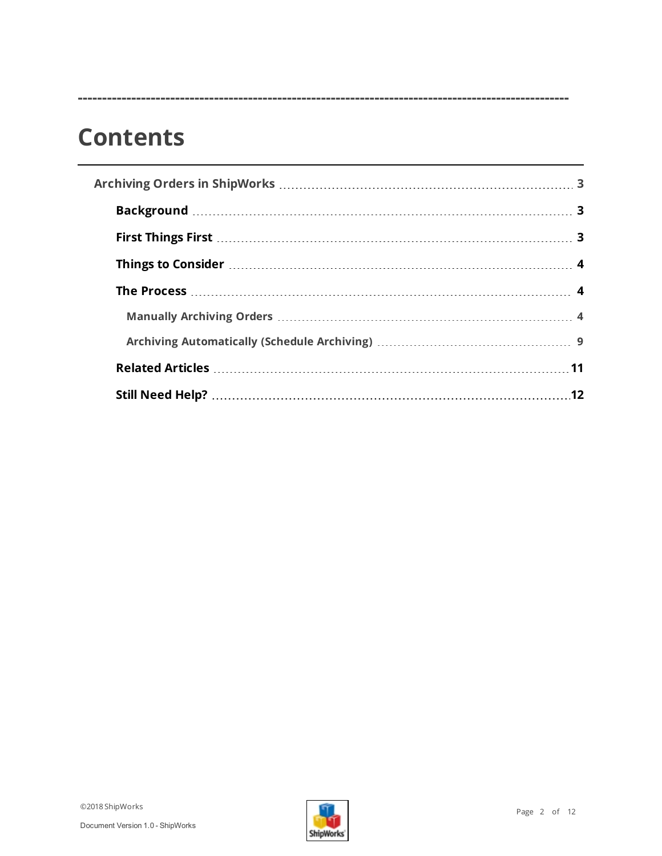# **Contents**

**-----------------------------------------------------------------------------------------------------**

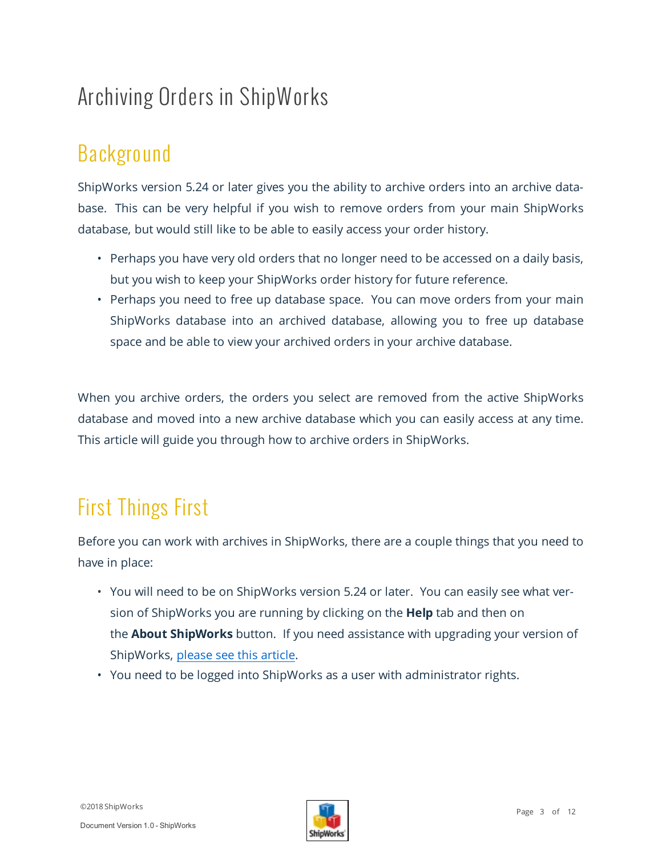# <span id="page-2-1"></span><span id="page-2-0"></span>Archiving Orders in ShipWorks

# Background

ShipWorks version 5.24 or later gives you the ability to archive orders into an archive database. This can be very helpful if you wish to remove orders from your main ShipWorks database, but would still like to be able to easily access your order history.

- Perhaps you have very old orders that no longer need to be accessed on a daily basis, but you wish to keep your ShipWorks order history for future reference.
- Perhaps you need to free up database space. You can move orders from your main ShipWorks database into an archived database, allowing you to free up database space and be able to view your archived orders in your archive database.

When you archive orders, the orders you select are removed from the active ShipWorks database and moved into a new archive database which you can easily access at any time. This article will guide you through how to archive orders in ShipWorks.

# <span id="page-2-2"></span>First Things First

Before you can work with archives in ShipWorks, there are a couple things that you need to have in place:

- You will need to be on ShipWorks version 5.24 or later. You can easily see what version of ShipWorks you are running by clicking on the **Help** tab and then on the **About ShipWorks** button. If you need assistance with upgrading your version of ShipWorks, [please](http://support.shipworks.com/support/solutions/articles/147053-how-do-i-upgrade-shipworks-) see this article.
- You need to be logged into ShipWorks as a user with administrator rights.

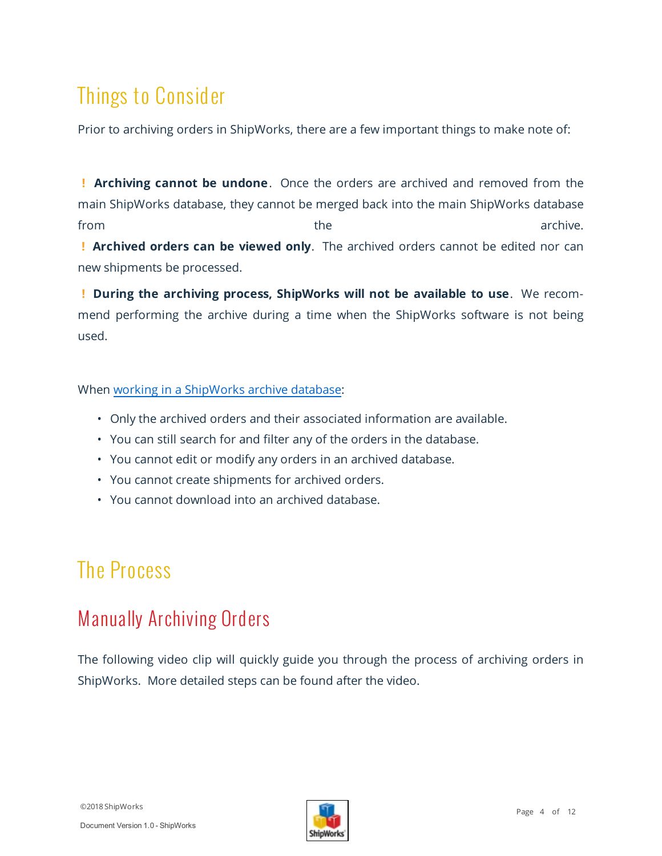## <span id="page-3-0"></span>Things to Consider

Prior to archiving orders in ShipWorks, there are a few important things to make note of:

**! Archiving cannot be undone**. Once the orders are archived and removed from the main ShipWorks database, they cannot be merged back into the main ShipWorks database from the the contract of the archive. **! Archived orders can be viewed only**. The archived orders cannot be edited nor can

new shipments be processed.

**! During the archiving process, ShipWorks will not be available to use**. We recommend performing the archive during a time when the ShipWorks software is not being used.

#### When working in a [ShipWorks](http://support.shipworks.com/support/solutions/articles/4000122197-working-in-a-shipworks-archive) archive database:

- Only the archived orders and their associated information are available.
- You can still search for and filter any of the orders in the database.
- You cannot edit or modify any orders in an archived database.
- You cannot create shipments for archived orders.
- <span id="page-3-1"></span>• You cannot download into an archived database.

## <span id="page-3-2"></span>The Process

### Manually Archiving Orders

The following video clip will quickly guide you through the process of archiving orders in ShipWorks. More detailed steps can be found after the video.

©2018 ShipWorks

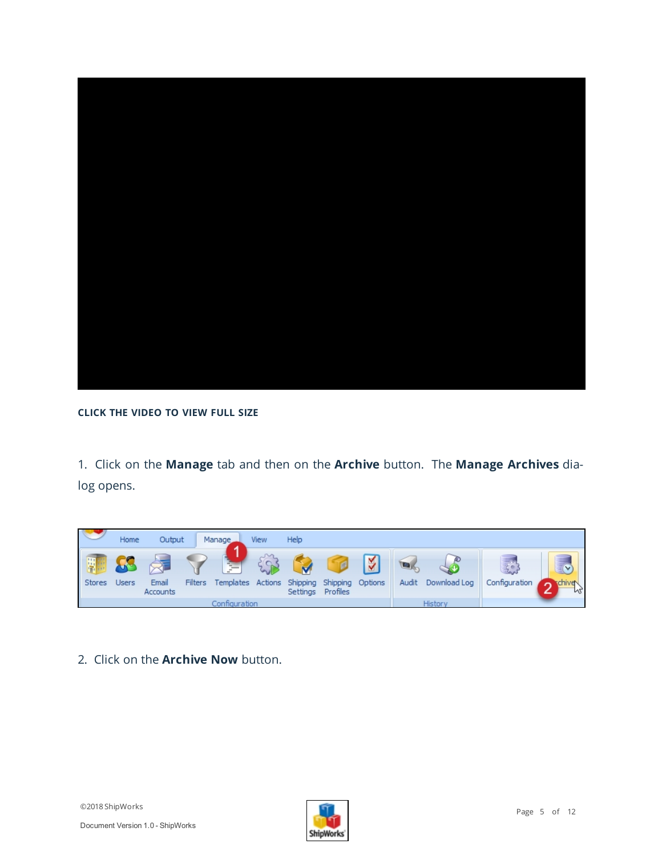

#### **CLICK THE VIDEO TO VIEW FULL SIZE**

1. Click on the **Manage** tab and then on the **Archive** button. The **Manage Archives** dialog opens.



#### 2. Click on the **Archive Now** button.

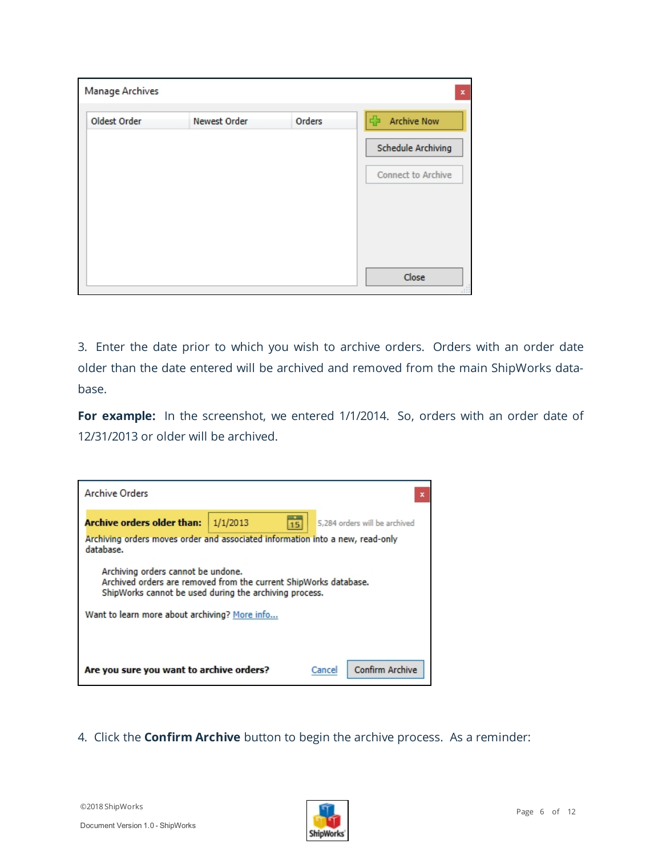| Manage Archives |              |        | $\pmb{\times}$           |
|-----------------|--------------|--------|--------------------------|
| Oldest Order    | Newest Order | Orders | d.<br><b>Archive Now</b> |
|                 |              |        | Schedule Archiving       |
|                 |              |        | Connect to Archive       |
|                 |              |        |                          |
|                 |              |        |                          |
|                 |              |        |                          |
|                 |              |        | Close<br>.111            |

3. Enter the date prior to which you wish to archive orders. Orders with an order date older than the date entered will be archived and removed from the main ShipWorks database.

For example: In the screenshot, we entered 1/1/2014. So, orders with an order date of 12/31/2013 or older will be archived.

| <b>Archive Orders</b><br>$\mathbf x$                                                                                                                                                                              |                                                 |  |        |                 |  |  |  |  |  |
|-------------------------------------------------------------------------------------------------------------------------------------------------------------------------------------------------------------------|-------------------------------------------------|--|--------|-----------------|--|--|--|--|--|
| <b>Archive orders older than:</b>                                                                                                                                                                                 | 1/1/2013<br>5.284 orders will be archived<br>15 |  |        |                 |  |  |  |  |  |
| Archiving orders moves order and associated information into a new, read-only<br>database.                                                                                                                        |                                                 |  |        |                 |  |  |  |  |  |
| Archiving orders cannot be undone.<br>Archived orders are removed from the current ShipWorks database.<br>ShipWorks cannot be used during the archiving process.<br>Want to learn more about archiving? More info |                                                 |  |        |                 |  |  |  |  |  |
| Are you sure you want to archive orders?                                                                                                                                                                          |                                                 |  | Cancel | Confirm Archive |  |  |  |  |  |

#### 4. Click the **Confirm Archive** button to begin the archive process. As a reminder:

Document Version 1.0 - ShipWorks

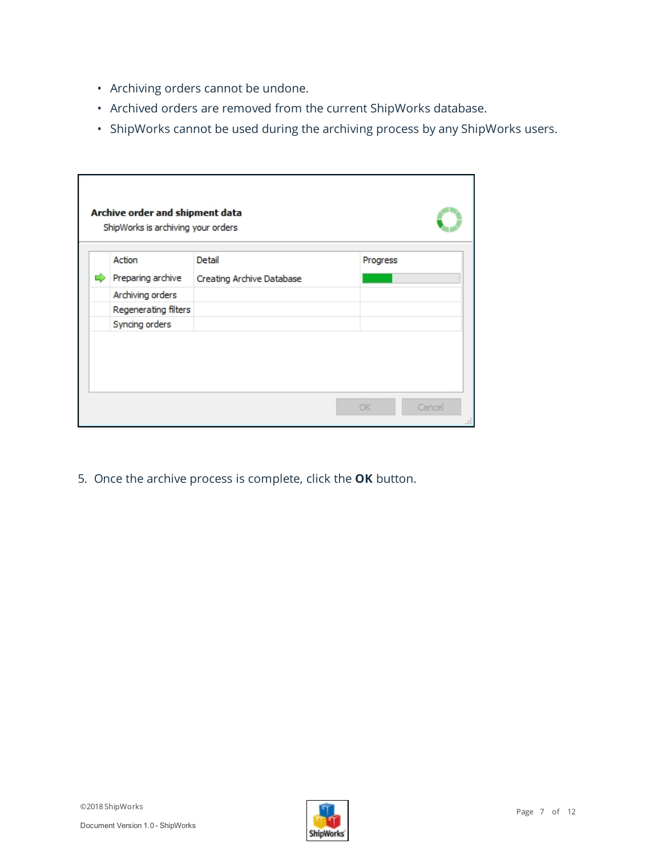- Archiving orders cannot be undone.
- Archived orders are removed from the current ShipWorks database.
- ShipWorks cannot be used during the archiving process by any ShipWorks users.

|                      |                           | Progress |  |
|----------------------|---------------------------|----------|--|
| Preparing archive    | Creating Archive Database |          |  |
| Archiving orders     |                           |          |  |
| Regenerating filters |                           |          |  |
| Syncing orders       |                           |          |  |

5. Once the archive process is complete, click the **OK** button.

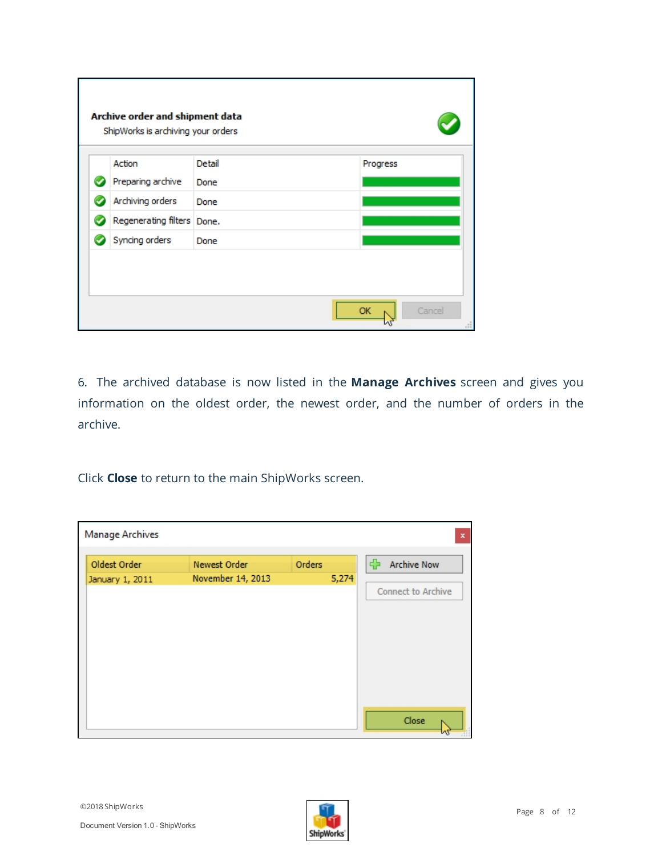| Action                     | Detail | Progress |  |
|----------------------------|--------|----------|--|
| Preparing archive          | Done   |          |  |
| Archiving orders           | Done   |          |  |
| Regenerating filters Done. |        |          |  |
| Syncing orders             | Done   |          |  |

6. The archived database is now listed in the **Manage Archives**  screen and gives you information on the oldest order, the newest order, and the number of orders in the archive.

Click **Close** to return to the main ShipWorks screen.

| Manage Archives                 |                                   |                 | $\mathbf x$                                   |
|---------------------------------|-----------------------------------|-----------------|-----------------------------------------------|
| Oldest Order<br>January 1, 2011 | Newest Order<br>November 14, 2013 | Orders<br>5,274 | <b>Archive Now</b><br>라<br>Connect to Archive |
|                                 |                                   |                 |                                               |
|                                 |                                   |                 |                                               |
|                                 |                                   |                 | Close                                         |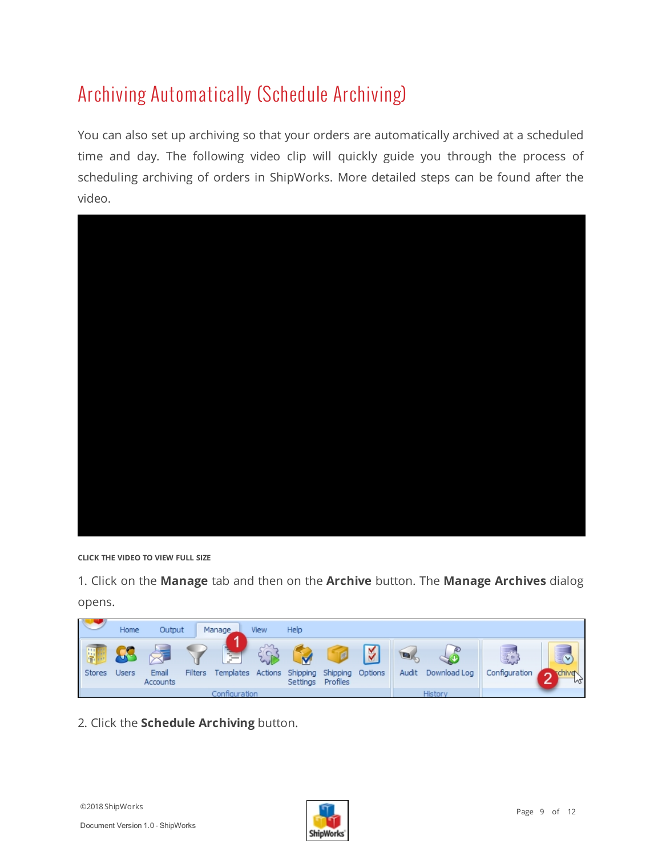## <span id="page-8-0"></span>Archiving Automatically (Schedule Archiving)

You can also set up archiving so that your orders are automatically archived at a scheduled time and day. The following video clip will quickly guide you through the process of scheduling archiving of orders in ShipWorks. More detailed steps can be found after the video.



**CLICK THE VIDEO TO VIEW FULL SIZE**

1. Click on the **Manage** tab and then on the **Archive** button. The **Manage Archives** dialog opens.

|             | Home  | Output            |         | Manage                                                                        | View | Help              |   |       |                   |               |                                  |
|-------------|-------|-------------------|---------|-------------------------------------------------------------------------------|------|-------------------|---|-------|-------------------|---------------|----------------------------------|
| 岸<br>Stores | Users | Email<br>Accounts | Filters | <b>The Second Second</b><br>п.<br>Templates Actions Shipping Shipping Options |      | Settings Profiles | ₹ | Audit | Đ<br>Download Log | Configuration | $\check{ }$<br>rchive<br>-<br>N2 |
|             |       |                   |         | Configuration                                                                 |      |                   |   |       | <b>History</b>    |               |                                  |

2. Click the **Schedule Archiving** button.

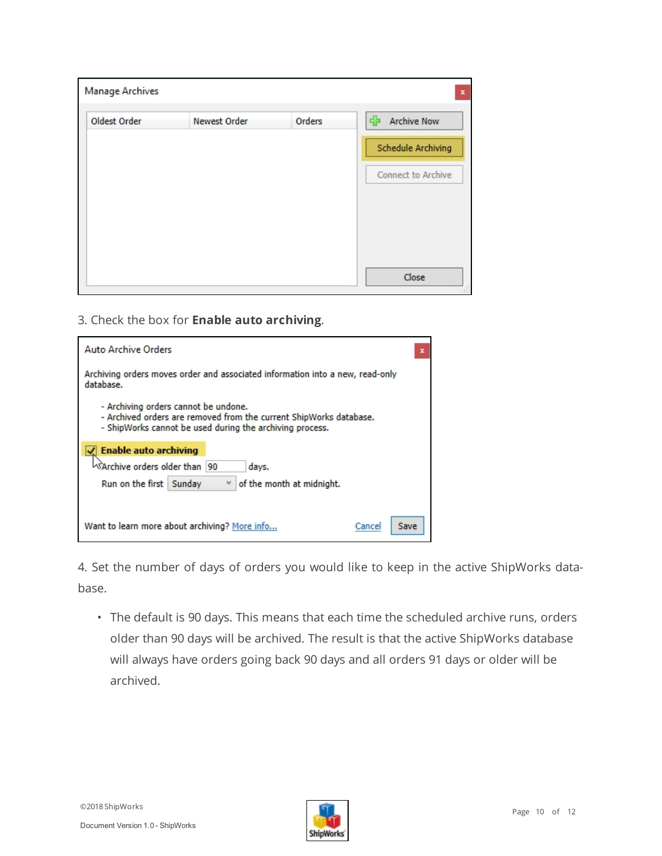| Manage Archives |              |        | $\pmb{\times}$           |
|-----------------|--------------|--------|--------------------------|
| Oldest Order    | Newest Order | Orders | 45<br><b>Archive Now</b> |
|                 |              |        | Schedule Archiving       |
|                 |              |        | Connect to Archive       |
|                 |              |        |                          |
|                 |              |        |                          |
|                 |              |        |                          |
|                 |              |        | Close<br>, 111           |

3. Check the box for **Enable auto archiving**.

| Auto Archive Orders                                                                                                                                                    | $\mathbf x$ |  |  |  |  |  |  |
|------------------------------------------------------------------------------------------------------------------------------------------------------------------------|-------------|--|--|--|--|--|--|
| Archiving orders moves order and associated information into a new, read-only<br>database.                                                                             |             |  |  |  |  |  |  |
| - Archiving orders cannot be undone.<br>- Archived orders are removed from the current ShipWorks database.<br>- ShipWorks cannot be used during the archiving process. |             |  |  |  |  |  |  |
| <b>Enable auto archiving</b>                                                                                                                                           |             |  |  |  |  |  |  |
| <sup>V</sup> SArchive orders older than 190<br>days.                                                                                                                   |             |  |  |  |  |  |  |
| Run on the first<br>of the month at midnight.<br>Sunday                                                                                                                |             |  |  |  |  |  |  |
|                                                                                                                                                                        |             |  |  |  |  |  |  |
| Want to learn more about archiving? More info<br>Save<br>Cancel                                                                                                        |             |  |  |  |  |  |  |

4. Set the number of days of orders you would like to keep in the active ShipWorks database.

• The default is 90 days. This means that each time the scheduled archive runs, orders older than 90 days will be archived. The result is that the active ShipWorks database will always have orders going back 90 days and all orders 91 days or older will be archived.

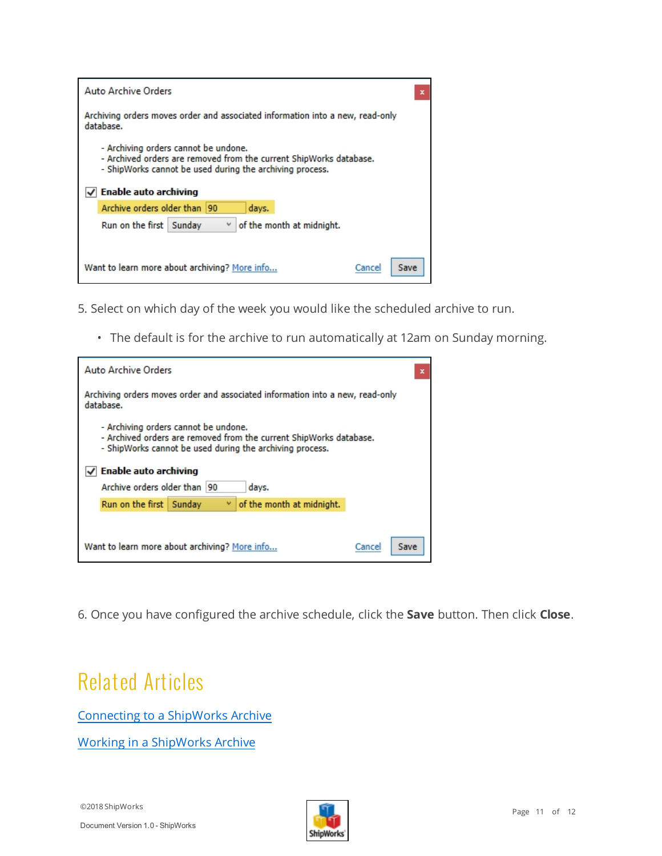| <b>Auto Archive Orders</b><br>x                                                                                                                                                                 |  |  |  |  |  |  |  |
|-------------------------------------------------------------------------------------------------------------------------------------------------------------------------------------------------|--|--|--|--|--|--|--|
| Archiving orders moves order and associated information into a new, read-only<br>database.                                                                                                      |  |  |  |  |  |  |  |
| - Archiving orders cannot be undone.<br>- Archived orders are removed from the current ShipWorks database.<br>- ShipWorks cannot be used during the archiving process.<br>Enable auto archiving |  |  |  |  |  |  |  |
| Archive orders older than  90<br>days.                                                                                                                                                          |  |  |  |  |  |  |  |
| Run on the first Sunday<br>of the month at midnight.                                                                                                                                            |  |  |  |  |  |  |  |
|                                                                                                                                                                                                 |  |  |  |  |  |  |  |
| Want to learn more about archiving? More info<br>Save<br>Cancel                                                                                                                                 |  |  |  |  |  |  |  |

5. Select on which day of the week you would like the scheduled archive to run.

• The default is for the archive to run automatically at 12am on Sunday morning.

| Auto Archive Orders                                                                                                                                                    |                           | x |  |  |  |  |  |  |
|------------------------------------------------------------------------------------------------------------------------------------------------------------------------|---------------------------|---|--|--|--|--|--|--|
| Archiving orders moves order and associated information into a new, read-only<br>database.                                                                             |                           |   |  |  |  |  |  |  |
| - Archiving orders cannot be undone.<br>- Archived orders are removed from the current ShipWorks database.<br>- ShipWorks cannot be used during the archiving process. |                           |   |  |  |  |  |  |  |
|                                                                                                                                                                        | Enable auto archiving     |   |  |  |  |  |  |  |
| Archive orders older than 90                                                                                                                                           | days.                     |   |  |  |  |  |  |  |
| Run on the first Sunday                                                                                                                                                | of the month at midnight. |   |  |  |  |  |  |  |
|                                                                                                                                                                        |                           |   |  |  |  |  |  |  |
| Want to learn more about archiving? More info<br>Save<br>Cancel                                                                                                        |                           |   |  |  |  |  |  |  |

<span id="page-10-0"></span>6. Once you have configured the archive schedule, click the **Save** button. Then click **Close**.

### Related Articles

[Connecting](http://support.shipworks.com/support/solutions/articles/4000122185-connecting-to-a-shipworks-archive) to a ShipWorks Archive

Working in a [ShipWorks](http://support.shipworks.com/support/solutions/articles/4000122197-working-in-a-shipworks-archive) Archive

©2018 ShipWorks